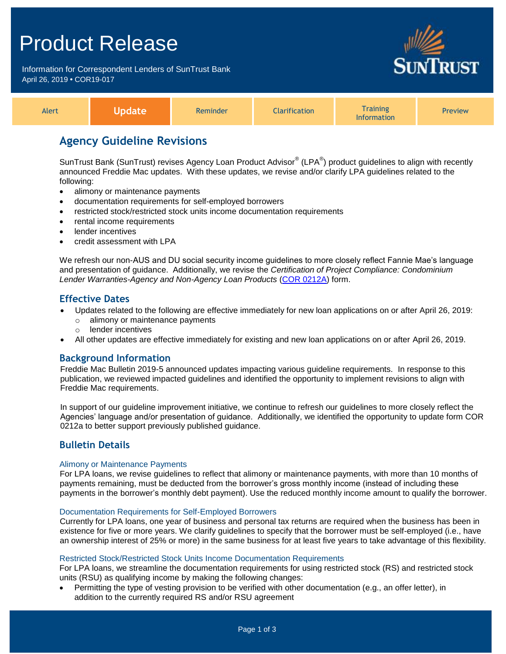## Product Release

Information for Correspondent Lenders of SunTrust Bank April 26, 2019 **•** COR19-017



| Alert |  | Reminder | <b>arification</b> | <b>Training</b><br><b>Information</b> | <b>Preview</b> |
|-------|--|----------|--------------------|---------------------------------------|----------------|
|-------|--|----------|--------------------|---------------------------------------|----------------|

## **Agency Guideline Revisions**

SunTrust Bank (SunTrust) revises Agency Loan Product Advisor® (LPA®) product guidelines to align with recently announced Freddie Mac updates. With these updates, we revise and/or clarify LPA guidelines related to the following:

- alimony or maintenance payments
- documentation requirements for self-employed borrowers
- restricted stock/restricted stock units income documentation requirements
- rental income requirements
- lender incentives
- credit assessment with LPA

We refresh our non-AUS and DU social security income guidelines to more closely reflect Fannie Mae's language and presentation of guidance. Additionally, we revise the *Certification of Project Compliance: Condominium Lender Warranties-Agency and Non-Agency Loan Products* [\(COR 0212A\)](http://www.truistsellerguide.com/manual/cor/forms/cor0212a.pdf) form.

## **Effective Dates**

- Updates related to the following are effective immediately for new loan applications on or after April 26, 2019:
	- o alimony or maintenance payments
		- o lender incentives
- All other updates are effective immediately for existing and new loan applications on or after April 26, 2019.

## **Background Information**

Freddie Mac Bulletin 2019-5 announced updates impacting various guideline requirements. In response to this publication, we reviewed impacted guidelines and identified the opportunity to implement revisions to align with Freddie Mac requirements.

In support of our guideline improvement initiative, we continue to refresh our guidelines to more closely reflect the Agencies' language and/or presentation of guidance. Additionally, we identified the opportunity to update form COR 0212a to better support previously published guidance.

## **Bulletin Details**

#### Alimony or Maintenance Payments

For LPA loans, we revise guidelines to reflect that alimony or maintenance payments, with more than 10 months of payments remaining, must be deducted from the borrower's gross monthly income (instead of including these payments in the borrower's monthly debt payment). Use the reduced monthly income amount to qualify the borrower.

#### Documentation Requirements for Self-Employed Borrowers

Currently for LPA loans, one year of business and personal tax returns are required when the business has been in existence for five or more years. We clarify guidelines to specify that the borrower must be self-employed (i.e., have an ownership interest of 25% or more) in the same business for at least five years to take advantage of this flexibility.

#### Restricted Stock/Restricted Stock Units Income Documentation Requirements

For LPA loans, we streamline the documentation requirements for using restricted stock (RS) and restricted stock units (RSU) as qualifying income by making the following changes:

 Permitting the type of vesting provision to be verified with other documentation (e.g., an offer letter), in addition to the currently required RS and/or RSU agreement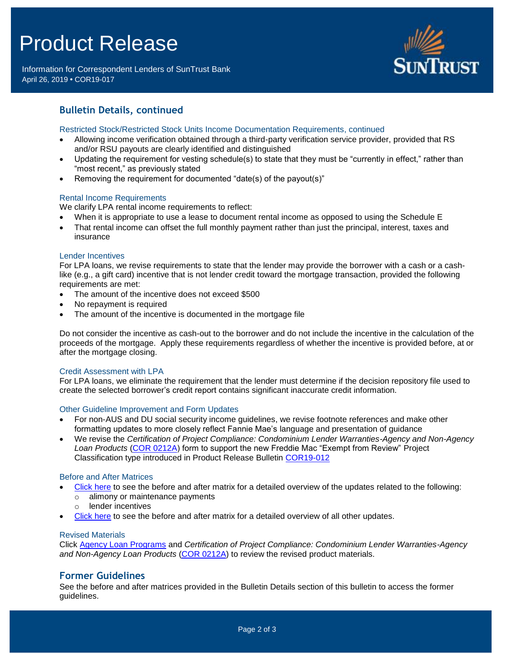# Product Release

Information for Correspondent Lenders of SunTrust Bank April 26, 2019 **•** COR19-017



## **Bulletin Details, continued**

#### Restricted Stock/Restricted Stock Units Income Documentation Requirements, continued

- Allowing income verification obtained through a third-party verification service provider, provided that RS and/or RSU payouts are clearly identified and distinguished
- Updating the requirement for vesting schedule(s) to state that they must be "currently in effect," rather than "most recent," as previously stated
- Removing the requirement for documented "date(s) of the payout(s)"

#### Rental Income Requirements

We clarify LPA rental income requirements to reflect:

- When it is appropriate to use a lease to document rental income as opposed to using the Schedule E
- That rental income can offset the full monthly payment rather than just the principal, interest, taxes and insurance

#### Lender Incentives

For LPA loans, we revise requirements to state that the lender may provide the borrower with a cash or a cashlike (e.g., a gift card) incentive that is not lender credit toward the mortgage transaction, provided the following requirements are met:

- The amount of the incentive does not exceed \$500
- No repayment is required
- The amount of the incentive is documented in the mortgage file

Do not consider the incentive as cash-out to the borrower and do not include the incentive in the calculation of the proceeds of the mortgage. Apply these requirements regardless of whether the incentive is provided before, at or after the mortgage closing.

#### Credit Assessment with LPA

For LPA loans, we eliminate the requirement that the lender must determine if the decision repository file used to create the selected borrower's credit report contains significant inaccurate credit information.

#### Other Guideline Improvement and Form Updates

- For non-AUS and DU social security income guidelines, we revise footnote references and make other formatting updates to more closely reflect Fannie Mae's language and presentation of guidance
- We revise the *Certification of Project Compliance: Condominium Lender Warranties-Agency and Non-Agency Loan Products* [\(COR 0212A\)](http://www.truistsellerguide.com/manual/cor/forms/cor0212a.pdf) form to support the new Freddie Mac "Exempt from Review" Project Classification type introduced in Product Release Bulletin [COR19-012](https://www.truistsellerguide.com/Manual/cor/bulletins/archive/Cr19-012.pdf)

#### Before and After Matrices

- [Click here](http://www.truistsellerguide.com/manual/cor/products/Cr19-017BA%20-%20New.pdf) to see the before and after matrix for a detailed overview of the updates related to the following:
	- o alimony or maintenance payments
	- o lender incentives
- [Click here](http://www.truistsellerguide.com/manual/cor/products/Cr19-017BA%20-%20NewandExist.pdf) to see the before and after matrix for a detailed overview of all other updates.

#### Revised Materials

Click [Agency Loan Programs](https://www.truistsellerguide.com/manual/cor/products/CAgency.pdf) and *Certification of Project Compliance: Condominium Lender Warranties-Agency and Non-Agency Loan Products* [\(COR 0212A\)](http://www.truistsellerguide.com/manual/cor/forms/cor0212a.pdf) to review the revised product materials.

### **Former Guidelines**

See the before and after matrices provided in the Bulletin Details section of this bulletin to access the former guidelines.